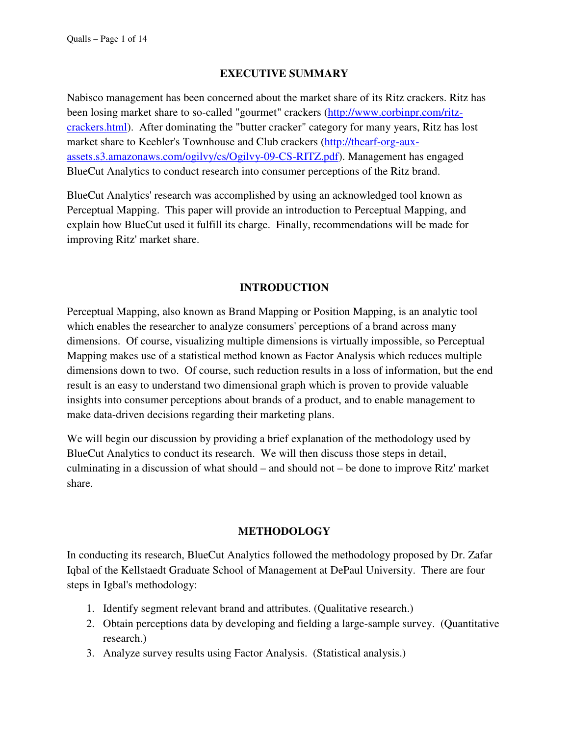#### **EXECUTIVE SUMMARY**

Nabisco management has been concerned about the market share of its Ritz crackers. Ritz has been losing market share to so-called "gourmet" crackers (http://www.corbinpr.com/ritzcrackers.html). After dominating the "butter cracker" category for many years, Ritz has lost market share to Keebler's Townhouse and Club crackers (http://thearf-org-auxassets.s3.amazonaws.com/ogilvy/cs/Ogilvy-09-CS-RITZ.pdf). Management has engaged BlueCut Analytics to conduct research into consumer perceptions of the Ritz brand.

BlueCut Analytics' research was accomplished by using an acknowledged tool known as Perceptual Mapping. This paper will provide an introduction to Perceptual Mapping, and explain how BlueCut used it fulfill its charge. Finally, recommendations will be made for improving Ritz' market share.

#### **INTRODUCTION**

Perceptual Mapping, also known as Brand Mapping or Position Mapping, is an analytic tool which enables the researcher to analyze consumers' perceptions of a brand across many dimensions. Of course, visualizing multiple dimensions is virtually impossible, so Perceptual Mapping makes use of a statistical method known as Factor Analysis which reduces multiple dimensions down to two. Of course, such reduction results in a loss of information, but the end result is an easy to understand two dimensional graph which is proven to provide valuable insights into consumer perceptions about brands of a product, and to enable management to make data-driven decisions regarding their marketing plans.

We will begin our discussion by providing a brief explanation of the methodology used by BlueCut Analytics to conduct its research. We will then discuss those steps in detail, culminating in a discussion of what should – and should not – be done to improve Ritz' market share.

#### **METHODOLOGY**

In conducting its research, BlueCut Analytics followed the methodology proposed by Dr. Zafar Iqbal of the Kellstaedt Graduate School of Management at DePaul University. There are four steps in Igbal's methodology:

- 1. Identify segment relevant brand and attributes. (Qualitative research.)
- 2. Obtain perceptions data by developing and fielding a large-sample survey. (Quantitative research.)
- 3. Analyze survey results using Factor Analysis. (Statistical analysis.)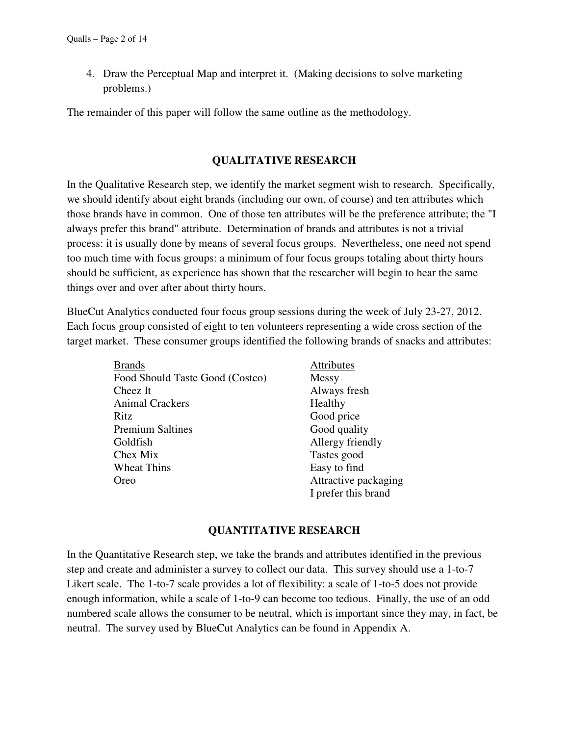4. Draw the Perceptual Map and interpret it. (Making decisions to solve marketing problems.)

The remainder of this paper will follow the same outline as the methodology.

#### **QUALITATIVE RESEARCH**

In the Qualitative Research step, we identify the market segment wish to research. Specifically, we should identify about eight brands (including our own, of course) and ten attributes which those brands have in common. One of those ten attributes will be the preference attribute; the "I always prefer this brand" attribute. Determination of brands and attributes is not a trivial process: it is usually done by means of several focus groups. Nevertheless, one need not spend too much time with focus groups: a minimum of four focus groups totaling about thirty hours should be sufficient, as experience has shown that the researcher will begin to hear the same things over and over after about thirty hours.

BlueCut Analytics conducted four focus group sessions during the week of July 23-27, 2012. Each focus group consisted of eight to ten volunteers representing a wide cross section of the target market. These consumer groups identified the following brands of snacks and attributes:

| <b>Brands</b>                   | Attributes           |
|---------------------------------|----------------------|
| Food Should Taste Good (Costco) | Messy                |
| Cheez It                        | Always fresh         |
| <b>Animal Crackers</b>          | Healthy              |
| Ritz                            | Good price           |
| <b>Premium Saltines</b>         | Good quality         |
| Goldfish                        | Allergy friendly     |
| Chex Mix                        | Tastes good          |
| <b>Wheat Thins</b>              | Easy to find         |
| Oreo                            | Attractive packaging |
|                                 | I prefer this brand  |

#### **QUANTITATIVE RESEARCH**

In the Quantitative Research step, we take the brands and attributes identified in the previous step and create and administer a survey to collect our data. This survey should use a 1-to-7 Likert scale. The 1-to-7 scale provides a lot of flexibility: a scale of 1-to-5 does not provide enough information, while a scale of 1-to-9 can become too tedious. Finally, the use of an odd numbered scale allows the consumer to be neutral, which is important since they may, in fact, be neutral. The survey used by BlueCut Analytics can be found in Appendix A.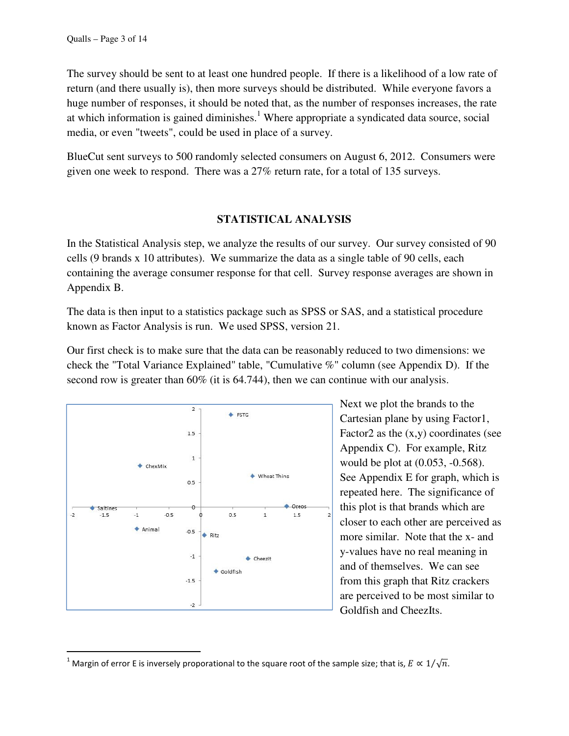The survey should be sent to at least one hundred people. If there is a likelihood of a low rate of return (and there usually is), then more surveys should be distributed. While everyone favors a huge number of responses, it should be noted that, as the number of responses increases, the rate at which information is gained diminishes.<sup>1</sup> Where appropriate a syndicated data source, social media, or even "tweets", could be used in place of a survey.

BlueCut sent surveys to 500 randomly selected consumers on August 6, 2012. Consumers were given one week to respond. There was a 27% return rate, for a total of 135 surveys.

#### **STATISTICAL ANALYSIS**

In the Statistical Analysis step, we analyze the results of our survey. Our survey consisted of 90 cells (9 brands x 10 attributes). We summarize the data as a single table of 90 cells, each containing the average consumer response for that cell. Survey response averages are shown in Appendix B.

The data is then input to a statistics package such as SPSS or SAS, and a statistical procedure known as Factor Analysis is run. We used SPSS, version 21.

Our first check is to make sure that the data can be reasonably reduced to two dimensions: we check the "Total Variance Explained" table, "Cumulative %" column (see Appendix D). If the second row is greater than 60% (it is 64.744), then we can continue with our analysis.



 $\overline{\phantom{a}}$ 

Next we plot the brands to the Cartesian plane by using Factor1, Factor2 as the  $(x,y)$  coordinates (see Appendix C). For example, Ritz would be plot at (0.053, -0.568). See Appendix E for graph, which is repeated here. The significance of this plot is that brands which are closer to each other are perceived as more similar. Note that the x- and y-values have no real meaning in and of themselves. We can see from this graph that Ritz crackers are perceived to be most similar to Goldfish and CheezIts.

<sup>&</sup>lt;sup>1</sup> Margin of error E is inversely proporational to the square root of the sample size; that is,  $E \propto 1/\sqrt{n}$ .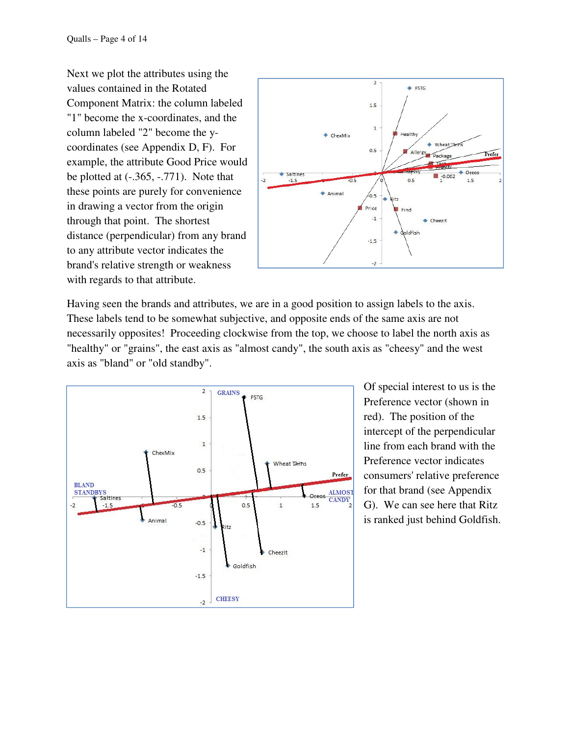Next we plot the attributes using the values contained in the Rotated Component Matrix: the column labeled "1" become the x-coordinates, and the column labeled "2" become the ycoordinates (see Appendix D, F). For example, the attribute Good Price would be plotted at  $(-.365, -.771)$ . Note that these points are purely for convenience in drawing a vector from the origin through that point. The shortest distance (perpendicular) from any brand to any attribute vector indicates the brand's relative strength or weakness with regards to that attribute.



Having seen the brands and attributes, we are in a good position to assign labels to the axis. These labels tend to be somewhat subjective, and opposite ends of the same axis are not necessarily opposites! Proceeding clockwise from the top, we choose to label the north axis as "healthy" or "grains", the east axis as "almost candy", the south axis as "cheesy" and the west axis as "bland" or "old standby".



Of special interest to us is the Preference vector (shown in red). The position of the intercept of the perpendicular line from each brand with the Preference vector indicates consumers' relative preference for that brand (see Appendix G). We can see here that Ritz is ranked just behind Goldfish.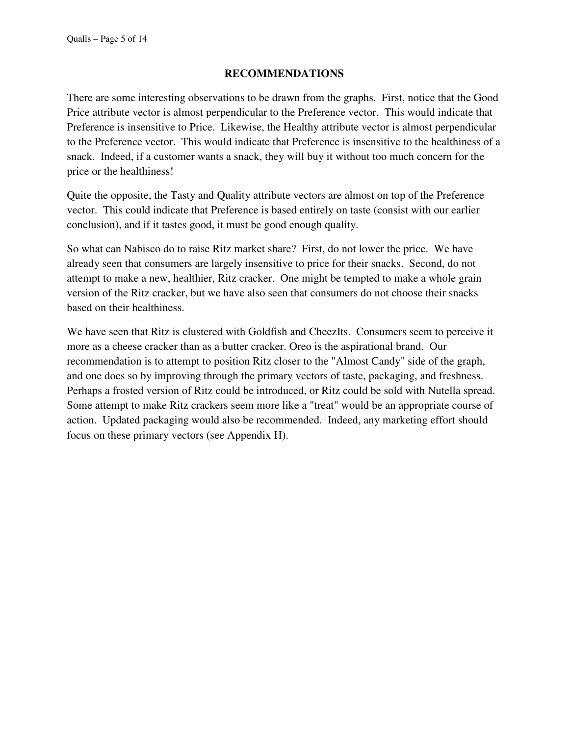#### **RECOMMENDATIONS**

There are some interesting observations to be drawn from the graphs. First, notice that the Good Price attribute vector is almost perpendicular to the Preference vector. This would indicate that Preference is insensitive to Price. Likewise, the Healthy attribute vector is almost perpendicular to the Preference vector. This would indicate that Preference is insensitive to the healthiness of a snack. Indeed, if a customer wants a snack, they will buy it without too much concern for the price or the healthiness!

Quite the opposite, the Tasty and Quality attribute vectors are almost on top of the Preference vector. This could indicate that Preference is based entirely on taste (consist with our earlier conclusion), and if it tastes good, it must be good enough quality.

So what can Nabisco do to raise Ritz market share? First, do not lower the price. We have already seen that consumers are largely insensitive to price for their snacks. Second, do not attempt to make a new, healthier, Ritz cracker. One might be tempted to make a whole grain version of the Ritz cracker, but we have also seen that consumers do not choose their snacks based on their healthiness.

We have seen that Ritz is clustered with Goldfish and CheezIts. Consumers seem to perceive it more as a cheese cracker than as a butter cracker. Oreo is the aspirational brand. Our recommendation is to attempt to position Ritz closer to the "Almost Candy" side of the graph, and one does so by improving through the primary vectors of taste, packaging, and freshness. Perhaps a frosted version of Ritz could be introduced, or Ritz could be sold with Nutella spread. Some attempt to make Ritz crackers seem more like a "treat" would be an appropriate course of action. Updated packaging would also be recommended. Indeed, any marketing effort should focus on these primary vectors (see Appendix H).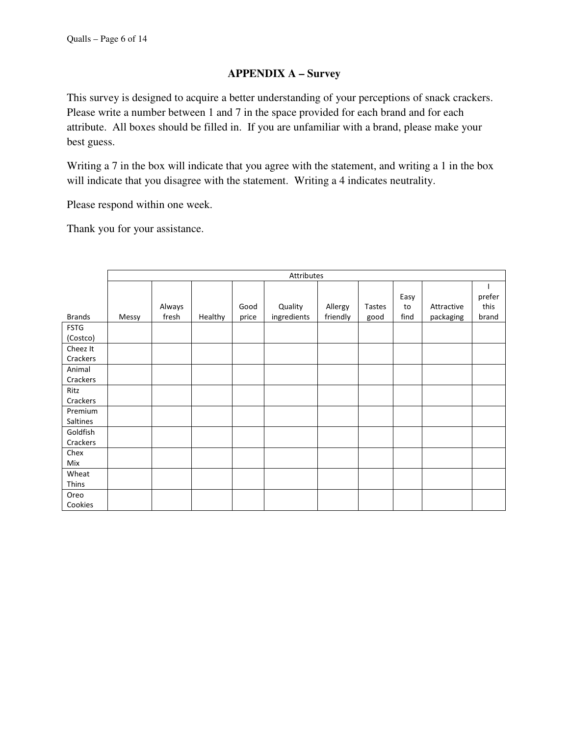### **APPENDIX A – Survey**

This survey is designed to acquire a better understanding of your perceptions of snack crackers. Please write a number between 1 and 7 in the space provided for each brand and for each attribute. All boxes should be filled in. If you are unfamiliar with a brand, please make your best guess.

Writing a 7 in the box will indicate that you agree with the statement, and writing a 1 in the box will indicate that you disagree with the statement. Writing a 4 indicates neutrality.

Please respond within one week.

Thank you for your assistance.

|               | Attributes |        |         |       |             |          |               |      |            |        |  |
|---------------|------------|--------|---------|-------|-------------|----------|---------------|------|------------|--------|--|
|               |            |        |         |       |             |          |               |      |            |        |  |
|               |            |        |         |       |             |          |               | Easy |            | prefer |  |
|               |            | Always |         | Good  | Quality     | Allergy  | <b>Tastes</b> | to   | Attractive | this   |  |
| <b>Brands</b> | Messy      | fresh  | Healthy | price | ingredients | friendly | good          | find | packaging  | brand  |  |
| <b>FSTG</b>   |            |        |         |       |             |          |               |      |            |        |  |
| (Costco)      |            |        |         |       |             |          |               |      |            |        |  |
| Cheez It      |            |        |         |       |             |          |               |      |            |        |  |
| Crackers      |            |        |         |       |             |          |               |      |            |        |  |
| Animal        |            |        |         |       |             |          |               |      |            |        |  |
| Crackers      |            |        |         |       |             |          |               |      |            |        |  |
| Ritz          |            |        |         |       |             |          |               |      |            |        |  |
| Crackers      |            |        |         |       |             |          |               |      |            |        |  |
| Premium       |            |        |         |       |             |          |               |      |            |        |  |
| Saltines      |            |        |         |       |             |          |               |      |            |        |  |
| Goldfish      |            |        |         |       |             |          |               |      |            |        |  |
| Crackers      |            |        |         |       |             |          |               |      |            |        |  |
| Chex          |            |        |         |       |             |          |               |      |            |        |  |
| Mix           |            |        |         |       |             |          |               |      |            |        |  |
| Wheat         |            |        |         |       |             |          |               |      |            |        |  |
| Thins         |            |        |         |       |             |          |               |      |            |        |  |
| Oreo          |            |        |         |       |             |          |               |      |            |        |  |
| Cookies       |            |        |         |       |             |          |               |      |            |        |  |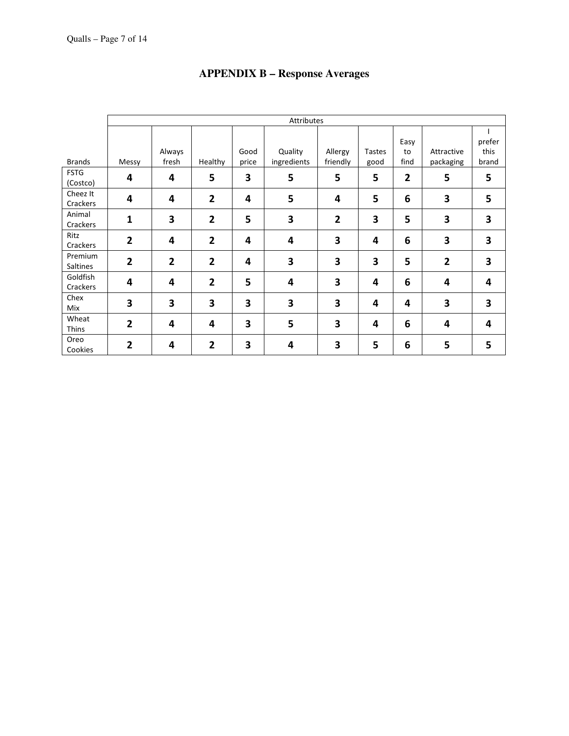|                            | Attributes     |                 |                         |               |                        |                         |                       |                    |                         |                         |  |
|----------------------------|----------------|-----------------|-------------------------|---------------|------------------------|-------------------------|-----------------------|--------------------|-------------------------|-------------------------|--|
| <b>Brands</b>              | Messy          | Always<br>fresh | Healthy                 | Good<br>price | Quality<br>ingredients | Allergy<br>friendly     | <b>Tastes</b><br>good | Easy<br>to<br>find | Attractive<br>packaging | prefer<br>this<br>brand |  |
| <b>FSTG</b><br>(Costco)    | 4              | 4               | 5                       | 3             | 5                      | 5                       | 5                     | $\overline{2}$     | 5                       | 5                       |  |
| Cheez It<br>Crackers       | 4              | 4               | $\overline{2}$          | 4             | 5                      | 4                       | 5                     | 6                  | 3                       | 5                       |  |
| Animal<br>Crackers         | 1              | 3               | $\overline{2}$          | 5             | 3                      | $\overline{\mathbf{2}}$ | 3                     | 5                  | 3                       | 3                       |  |
| Ritz<br>Crackers           | $\overline{2}$ | 4               | $\overline{\mathbf{2}}$ | 4             | 4                      | 3                       | 4                     | 6                  | 3                       | 3                       |  |
| Premium<br><b>Saltines</b> | $\overline{2}$ | $\overline{2}$  | $\overline{2}$          | 4             | 3                      | 3                       | 3                     | 5                  | $\overline{2}$          | 3                       |  |
| Goldfish<br>Crackers       | 4              | 4               | $\overline{2}$          | 5             | 4                      | 3                       | 4                     | 6                  | 4                       | 4                       |  |
| Chex<br>Mix                | 3              | 3               | 3                       | 3             | 3                      | 3                       | 4                     | 4                  | 3                       | 3                       |  |
| Wheat<br>Thins             | $\overline{2}$ | 4               | 4                       | 3             | 5                      | 3                       | 4                     | 6                  | 4                       | 4                       |  |
| Oreo<br>Cookies            | $\overline{2}$ | 4               | $\overline{2}$          | 3             | 4                      | 3                       | 5                     | 6                  | 5                       | 5                       |  |

# **APPENDIX B – Response Averages**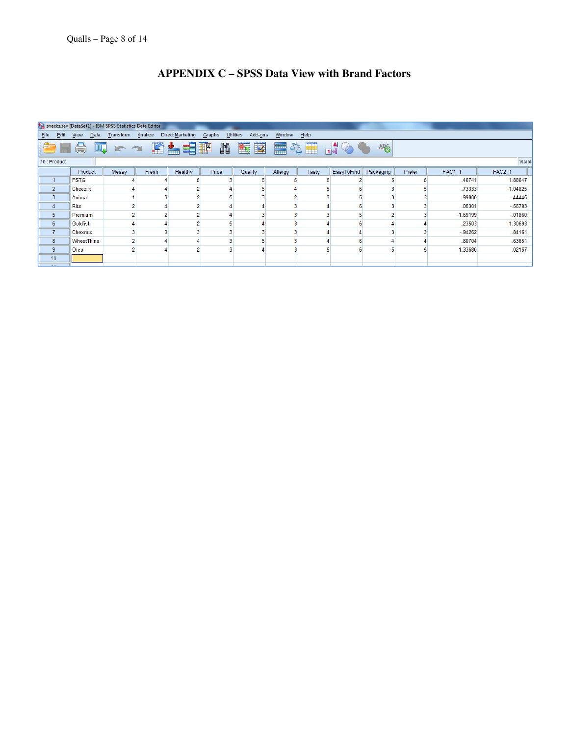## **APPENDIX C – SPSS Data View with Brand Factors**

| snacks.sav [DataSet1] - IBM SPSS Statistics Data Editor                                                                          |                   |            |       |         |       |         |         |       |            |           |        |               |            |
|----------------------------------------------------------------------------------------------------------------------------------|-------------------|------------|-------|---------|-------|---------|---------|-------|------------|-----------|--------|---------------|------------|
| <b>Utilities</b><br>Eile<br>Add-ons<br>Window<br>Edit<br>Data<br>Transform Analyze<br>Direct Marketing<br>Help<br>View<br>Graphs |                   |            |       |         |       |         |         |       |            |           |        |               |            |
| ¥<br>H<br>編<br>$\frac{1}{14}$<br>译<br>舳<br>E<br>事吧<br>ABS<br>$\Delta$<br><b>K</b><br>的<br>肩                                      |                   |            |       |         |       |         |         |       |            |           |        |               |            |
| 10 : Product                                                                                                                     |                   |            |       |         |       |         |         |       |            |           |        |               | Visible    |
|                                                                                                                                  | Product           | Messy      | Fresh | Healthy | Price | Quality | Allergy | Tasty | EasyToFind | Packaging | Prefer | <b>FAC1 1</b> | FAC2 1     |
| $\mathbf{1}$                                                                                                                     | <b>FSTG</b>       |            |       |         |       |         |         |       |            |           |        | .46741        | 1.88647    |
| $\overline{2}$                                                                                                                   | Cheez It          |            |       |         |       |         |         |       | 6          |           |        | .73333        | $-1.04825$ |
| 3                                                                                                                                | Animal            |            |       |         |       |         |         |       |            |           |        | $-99800$      | $-44445$   |
| $\overline{4}$                                                                                                                   | Ritz              |            |       |         |       |         |         |       | 6          |           |        | .05301        | $-56793$   |
| 5                                                                                                                                | Premium           |            |       |         |       |         |         |       |            |           |        | $-1.69199$    | $-01860$   |
| 6                                                                                                                                | Goldfish          |            |       |         |       |         |         |       | 6          |           |        | .23503        | $-1.30693$ |
| $\overline{7}$                                                                                                                   | Chexmix           | 3          |       |         |       |         |         |       |            |           |        | $-94262$      | 84161      |
| 8                                                                                                                                | <b>WheatThins</b> | $\sqrt{2}$ |       |         |       |         |         |       | 6          |           |        | .80704        | .63651     |
| 9                                                                                                                                | Oreo              | o          |       |         |       |         |         |       | 6          | ь         |        | 1.33680       | .02157     |
| 10                                                                                                                               |                   |            |       |         |       |         |         |       |            |           |        |               |            |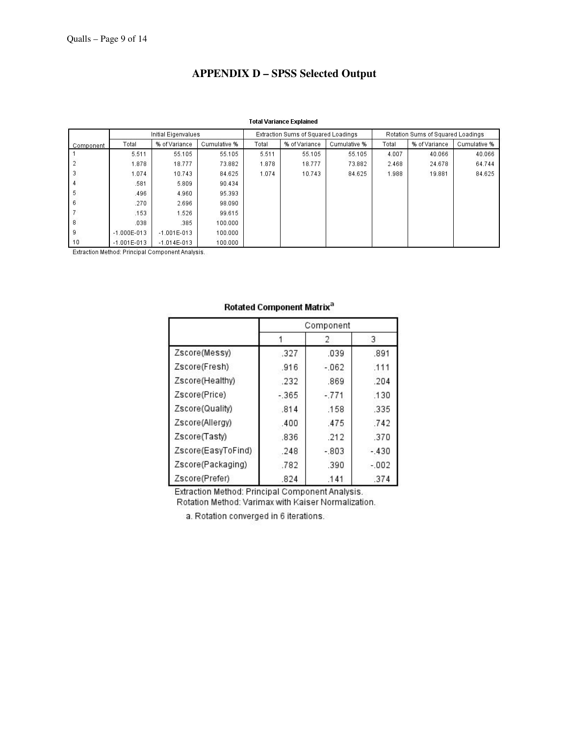## **APPENDIX D – SPSS Selected Output**

|           |                 | Initial Eigenvalues |              |       | Extraction Sums of Squared Loadings |              | Rotation Sums of Squared Loadings |               |              |
|-----------|-----------------|---------------------|--------------|-------|-------------------------------------|--------------|-----------------------------------|---------------|--------------|
| Component | Total           | % of Variance       | Cumulative % | Total | % of Variance                       | Cumulative % | Total                             | % of Variance | Cumulative % |
|           | 5.511           | 55.105              | 55.105       | 5.511 | 55.105                              | 55.105       | 4.007                             | 40.066        | 40.066       |
|           | 1.878           | 18.777              | 73.882       | 1.878 | 18.777                              | 73.882       | 2.468                             | 24.678        | 64.744       |
| 3         | 1.074           | 10.743              | 84.625       | 1.074 | 10.743                              | 84.625       | 1.988                             | 19.881        | 84.625       |
| 4         | .581            | 5.809               | 90.434       |       |                                     |              |                                   |               |              |
| 5         | .496            | 4.960               | 95.393       |       |                                     |              |                                   |               |              |
| 6         | .270            | 2.696               | 98.090       |       |                                     |              |                                   |               |              |
|           | .153            | 1.526               | 99.615       |       |                                     |              |                                   |               |              |
| 8         | .038            | .385                | 100.000      |       |                                     |              |                                   |               |              |
| 9         | $-1.000E - 013$ | $-1.001E - 013$     | 100.000      |       |                                     |              |                                   |               |              |
| 10        | $-1.001E - 013$ | $-1.014E - 013$     | 100.000      |       |                                     |              |                                   |               |              |

Extraction Method: Principal Component Analysis.

|                    | Component |          |        |  |  |  |  |
|--------------------|-----------|----------|--------|--|--|--|--|
|                    |           | 2        | 3      |  |  |  |  |
| Zscore(Messy)      | .327      | .039     | .891   |  |  |  |  |
| Zscore(Fresh)      | .916      | $-062$   | .111   |  |  |  |  |
| Zscore(Healthy)    | .232      | .869     | .204   |  |  |  |  |
| Zscore(Price)      | $-365$    | $-.771$  | .130   |  |  |  |  |
| Zscore(Quality)    | .814      | .158     | .335   |  |  |  |  |
| Zscore(Allergy)    | .400      | .475     | .742   |  |  |  |  |
| Zscore(Tasty)      | .836      | .212     | .370   |  |  |  |  |
| Zscore(EasyToFind) | .248      | $-0.803$ | $-430$ |  |  |  |  |
| Zscore(Packaging)  | .782      | .390     | $-002$ |  |  |  |  |
| Zscore(Prefer)     | .824      | .141     | .374   |  |  |  |  |

#### Rotated Component Matrix<sup>a</sup>

Extraction Method: Principal Component Analysis. Rotation Method: Varimax with Kaiser Normalization.

a. Rotation converged in 6 iterations.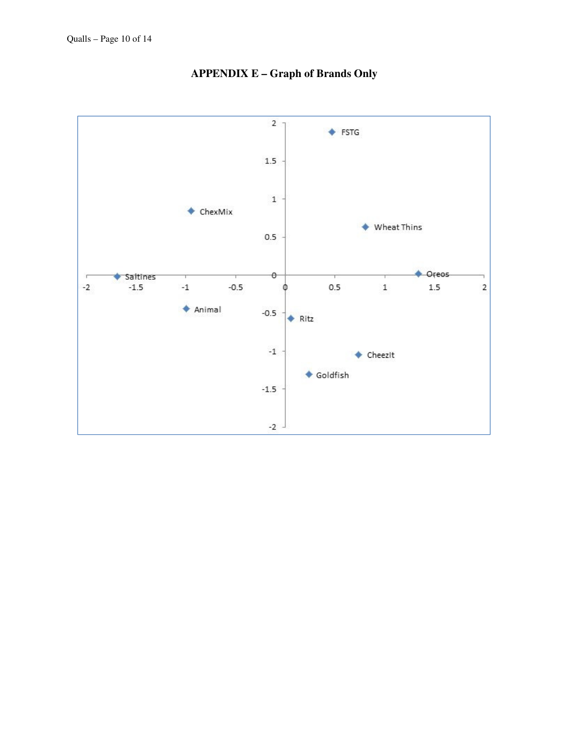

# **APPENDIX E – Graph of Brands Only**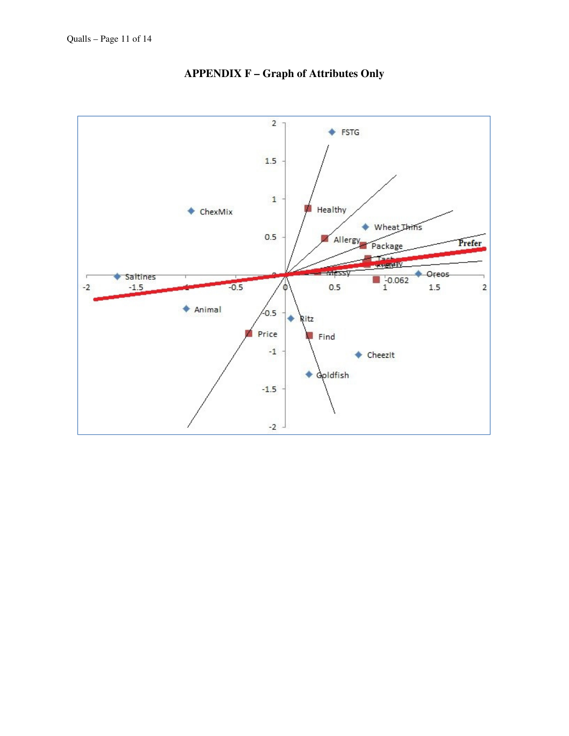

**APPENDIX F – Graph of Attributes Only**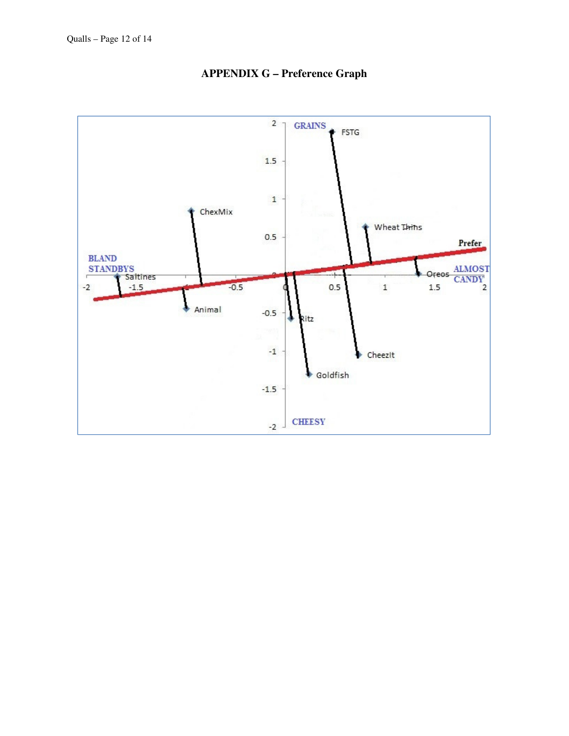

**APPENDIX G – Preference Graph**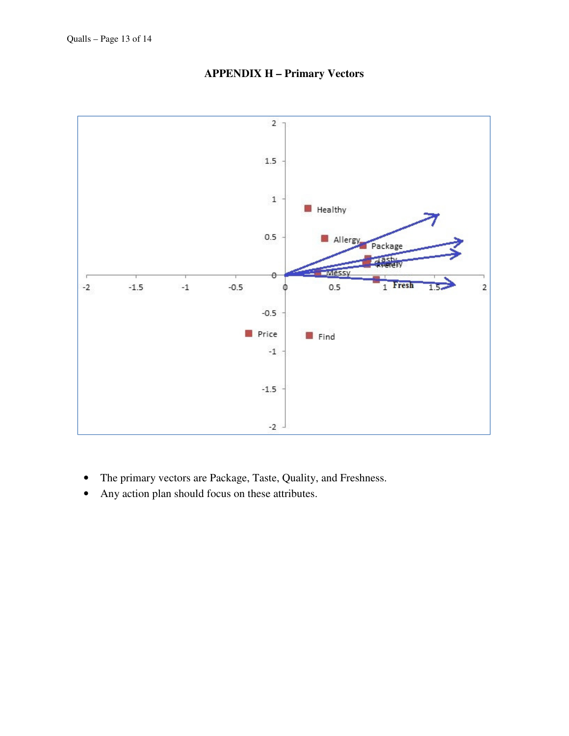

**APPENDIX H – Primary Vectors** 

- The primary vectors are Package, Taste, Quality, and Freshness.
- Any action plan should focus on these attributes.